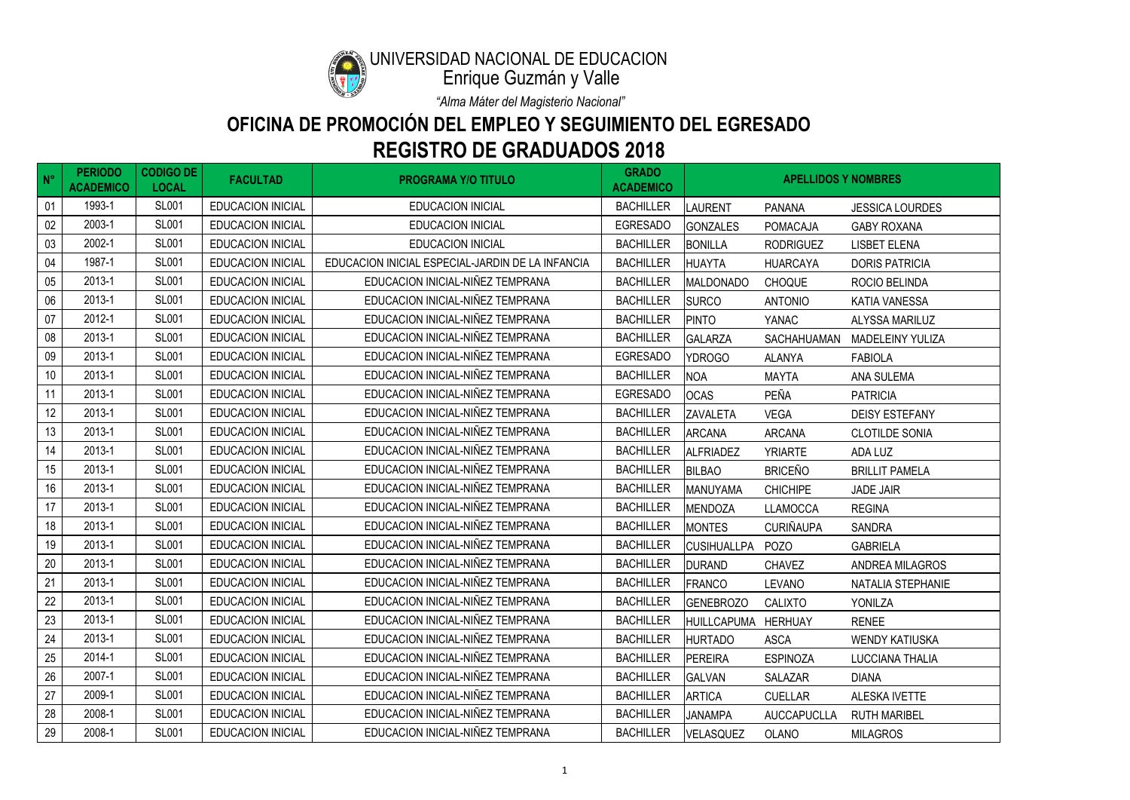| $N^{\circ}$ | <b>PERIODO</b><br><b>ACADEMICO</b> | <b>CODIGO DE</b><br><b>LOCAL</b> | <b>FACULTAD</b>          | <b>PROGRAMA Y/O TITULO</b>                       | <b>GRADO</b><br><b>ACADEMICO</b> |                     | <b>APELLIDOS Y NOMBRES</b> |                          |
|-------------|------------------------------------|----------------------------------|--------------------------|--------------------------------------------------|----------------------------------|---------------------|----------------------------|--------------------------|
| 01          | 1993-1                             | <b>SL001</b>                     | <b>EDUCACION INICIAL</b> | <b>EDUCACION INICIAL</b>                         | <b>BACHILLER</b>                 | <b>LAURENT</b>      | <b>PANANA</b>              | <b>JESSICA LOURDES</b>   |
| 02          | 2003-1                             | <b>SL001</b>                     | <b>EDUCACION INICIAL</b> | <b>EDUCACION INICIAL</b>                         | <b>EGRESADO</b>                  | <b>GONZALES</b>     | <b>POMACAJA</b>            | <b>GABY ROXANA</b>       |
| 03          | 2002-1                             | <b>SL001</b>                     | <b>EDUCACION INICIAL</b> | <b>EDUCACION INICIAL</b>                         | <b>BACHILLER</b>                 | <b>BONILLA</b>      | <b>RODRIGUEZ</b>           | <b>LISBET ELENA</b>      |
| 04          | 1987-1                             | <b>SL001</b>                     | <b>EDUCACION INICIAL</b> | EDUCACION INICIAL ESPECIAL-JARDIN DE LA INFANCIA | <b>BACHILLER</b>                 | <b>HUAYTA</b>       | <b>HUARCAYA</b>            | <b>DORIS PATRICIA</b>    |
| 05          | 2013-1                             | <b>SL001</b>                     | <b>EDUCACION INICIAL</b> | EDUCACION INICIAL-NIÑEZ TEMPRANA                 | <b>BACHILLER</b>                 | <b>MALDONADO</b>    | <b>CHOQUE</b>              | ROCIO BELINDA            |
| 06          | 2013-1                             | <b>SL001</b>                     | <b>EDUCACION INICIAL</b> | EDUCACION INICIAL-NIÑEZ TEMPRANA                 | <b>BACHILLER</b>                 | <b>SURCO</b>        | <b>ANTONIO</b>             | <b>KATIA VANESSA</b>     |
| 07          | 2012-1                             | <b>SL001</b>                     | <b>EDUCACION INICIAL</b> | EDUCACION INICIAL-NIÑEZ TEMPRANA                 | <b>BACHILLER</b>                 | <b>PINTO</b>        | <b>YANAC</b>               | ALYSSA MARILUZ           |
| 08          | 2013-1                             | <b>SL001</b>                     | <b>EDUCACION INICIAL</b> | EDUCACION INICIAL-NIÑEZ TEMPRANA                 | <b>BACHILLER</b>                 | <b>GALARZA</b>      | SACHAHUAMAN                | <b>MADELEINY YULIZA</b>  |
| 09          | 2013-1                             | <b>SL001</b>                     | <b>EDUCACION INICIAL</b> | EDUCACION INICIAL-NIÑEZ TEMPRANA                 | <b>EGRESADO</b>                  | <b>YDROGO</b>       | <b>ALANYA</b>              | <b>FABIOLA</b>           |
| 10          | 2013-1                             | <b>SL001</b>                     | <b>EDUCACION INICIAL</b> | EDUCACION INICIAL-NIÑEZ TEMPRANA                 | <b>BACHILLER</b>                 | <b>NOA</b>          | <b>MAYTA</b>               | <b>ANA SULEMA</b>        |
| 11          | 2013-1                             | <b>SL001</b>                     | <b>EDUCACION INICIAL</b> | EDUCACION INICIAL-NIÑEZ TEMPRANA                 | <b>EGRESADO</b>                  | <b>OCAS</b>         | PEÑA                       | <b>PATRICIA</b>          |
| 12          | 2013-1                             | <b>SL001</b>                     | <b>EDUCACION INICIAL</b> | EDUCACION INICIAL-NIÑEZ TEMPRANA                 | <b>BACHILLER</b>                 | <b>ZAVALETA</b>     | <b>VEGA</b>                | <b>DEISY ESTEFANY</b>    |
| 13          | 2013-1                             | <b>SL001</b>                     | <b>EDUCACION INICIAL</b> | EDUCACION INICIAL-NIÑEZ TEMPRANA                 | <b>BACHILLER</b>                 | <b>ARCANA</b>       | <b>ARCANA</b>              | <b>CLOTILDE SONIA</b>    |
| 14          | 2013-1                             | <b>SL001</b>                     | <b>EDUCACION INICIAL</b> | EDUCACION INICIAL-NIÑEZ TEMPRANA                 | <b>BACHILLER</b>                 | <b>ALFRIADEZ</b>    | <b>YRIARTE</b>             | ADA LUZ                  |
| 15          | 2013-1                             | <b>SL001</b>                     | <b>EDUCACION INICIAL</b> | EDUCACION INICIAL-NIÑEZ TEMPRANA                 | <b>BACHILLER</b>                 | <b>BILBAO</b>       | <b>BRICEÑO</b>             | <b>BRILLIT PAMELA</b>    |
| 16          | 2013-1                             | <b>SL001</b>                     | <b>EDUCACION INICIAL</b> | EDUCACION INICIAL-NIÑEZ TEMPRANA                 | <b>BACHILLER</b>                 | <b>MANUYAMA</b>     | <b>CHICHIPE</b>            | <b>JADE JAIR</b>         |
| 17          | 2013-1                             | <b>SL001</b>                     | <b>EDUCACION INICIAL</b> | EDUCACION INICIAL-NIÑEZ TEMPRANA                 | <b>BACHILLER</b>                 | <b>MENDOZA</b>      | <b>LLAMOCCA</b>            | <b>REGINA</b>            |
| 18          | 2013-1                             | <b>SL001</b>                     | <b>EDUCACION INICIAL</b> | EDUCACION INICIAL-NIÑEZ TEMPRANA                 | <b>BACHILLER</b>                 | <b>MONTES</b>       | <b>CURIÑAUPA</b>           | <b>SANDRA</b>            |
| 19          | 2013-1                             | <b>SL001</b>                     | <b>EDUCACION INICIAL</b> | EDUCACION INICIAL-NIÑEZ TEMPRANA                 | <b>BACHILLER</b>                 | <b>CUSIHUALLPA</b>  | <b>POZO</b>                | <b>GABRIELA</b>          |
| 20          | 2013-1                             | <b>SL001</b>                     | <b>EDUCACION INICIAL</b> | EDUCACION INICIAL-NIÑEZ TEMPRANA                 | <b>BACHILLER</b>                 | <b>DURAND</b>       | <b>CHAVEZ</b>              | <b>ANDREA MILAGROS</b>   |
| 21          | 2013-1                             | <b>SL001</b>                     | <b>EDUCACION INICIAL</b> | EDUCACION INICIAL-NIÑEZ TEMPRANA                 | <b>BACHILLER</b>                 | <b>FRANCO</b>       | <b>LEVANO</b>              | <b>NATALIA STEPHANIE</b> |
| 22          | 2013-1                             | <b>SL001</b>                     | <b>EDUCACION INICIAL</b> | EDUCACION INICIAL-NIÑEZ TEMPRANA                 | <b>BACHILLER</b>                 | <b>GENEBROZO</b>    | <b>CALIXTO</b>             | <b>YONILZA</b>           |
| 23          | 2013-1                             | <b>SL001</b>                     | <b>EDUCACION INICIAL</b> | EDUCACION INICIAL-NIÑEZ TEMPRANA                 | <b>BACHILLER</b>                 | HUILLCAPUMA HERHUAY |                            | <b>RENEE</b>             |
| 24          | 2013-1                             | <b>SL001</b>                     | <b>EDUCACION INICIAL</b> | EDUCACION INICIAL-NIÑEZ TEMPRANA                 | <b>BACHILLER</b>                 | <b>HURTADO</b>      | <b>ASCA</b>                | <b>WENDY KATIUSKA</b>    |
| 25          | 2014-1                             | <b>SL001</b>                     | <b>EDUCACION INICIAL</b> | EDUCACION INICIAL-NIÑEZ TEMPRANA                 | <b>BACHILLER</b>                 | PEREIRA             | <b>ESPINOZA</b>            | LUCCIANA THALIA          |
| 26          | 2007-1                             | <b>SL001</b>                     | EDUCACION INICIAL        | EDUCACION INICIAL-NIÑEZ TEMPRANA                 | <b>BACHILLER</b>                 | <b>GALVAN</b>       | <b>SALAZAR</b>             | <b>DIANA</b>             |
| 27          | 2009-1                             | <b>SL001</b>                     | <b>EDUCACION INICIAL</b> | EDUCACION INICIAL-NIÑEZ TEMPRANA                 | <b>BACHILLER</b>                 | <b>ARTICA</b>       | <b>CUELLAR</b>             | <b>ALESKA IVETTE</b>     |
| 28          | 2008-1                             | <b>SL001</b>                     | <b>EDUCACION INICIAL</b> | EDUCACION INICIAL-NIÑEZ TEMPRANA                 | <b>BACHILLER</b>                 | <b>JANAMPA</b>      | <b>AUCCAPUCLLA</b>         | <b>RUTH MARIBEL</b>      |
| 29          | 2008-1                             | <b>SL001</b>                     | EDUCACION INICIAL        | EDUCACION INICIAL-NIÑEZ TEMPRANA                 | <b>BACHILLER</b>                 | <b>VELASQUEZ</b>    | OLANO                      | <b>MILAGROS</b>          |



### UNIVERSIDAD NACIONAL DE EDUCACIÓN

Enrique Guzmán y Valle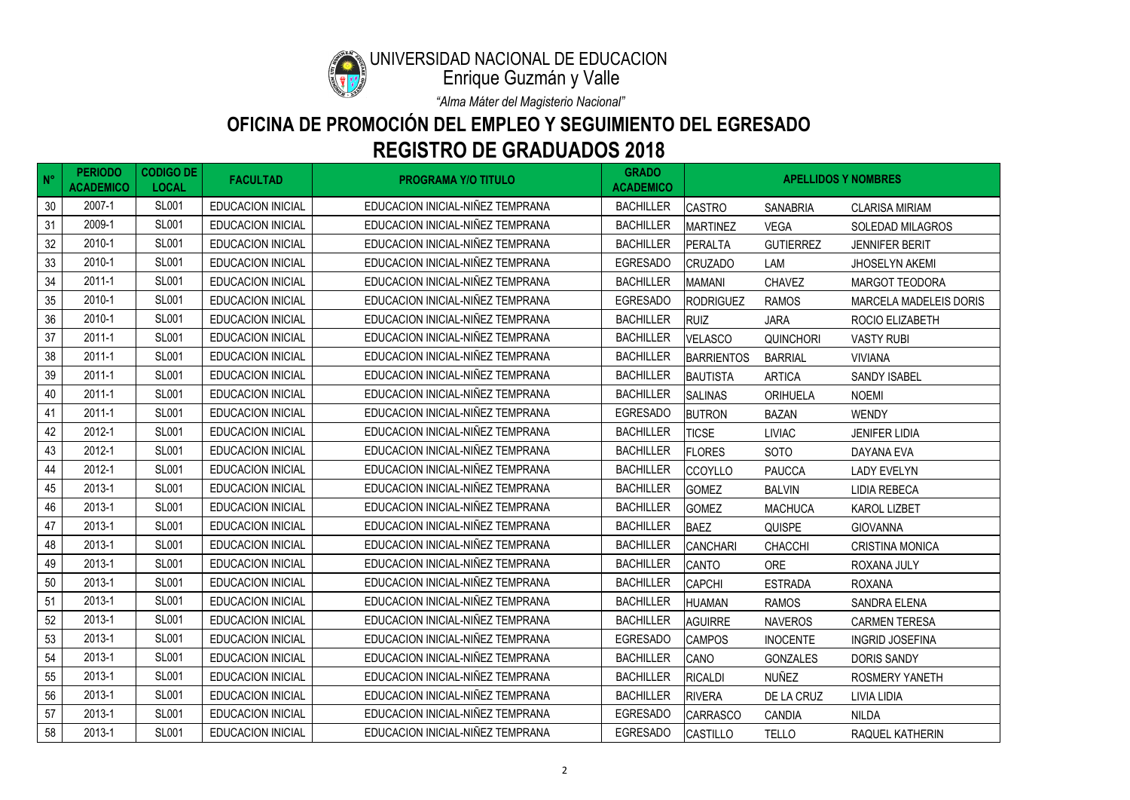

### UNIVERSIDAD NACIONAL DE EDUCACIÓN

Enrique Guzmán y Valle

| $N^{\circ}$ | <b>PERIODO</b><br><b>ACADEMICO</b> | <b>CODIGO DE</b><br><b>LOCAL</b> | <b>FACULTAD</b>          | <b>PROGRAMA Y/O TITULO</b>       | <b>GRADO</b><br><b>ACADEMICO</b> | <b>APELLIDOS Y NOMBRES</b> |                  |                               |
|-------------|------------------------------------|----------------------------------|--------------------------|----------------------------------|----------------------------------|----------------------------|------------------|-------------------------------|
| 30          | 2007-1                             | <b>SL001</b>                     | <b>EDUCACION INICIAL</b> | EDUCACION INICIAL-NIÑEZ TEMPRANA | <b>BACHILLER</b>                 | <b>CASTRO</b>              | <b>SANABRIA</b>  | <b>CLARISA MIRIAM</b>         |
| 31          | 2009-1                             | <b>SL001</b>                     | <b>EDUCACION INICIAL</b> | EDUCACION INICIAL-NIÑEZ TEMPRANA | <b>BACHILLER</b>                 | <b>MARTINEZ</b>            | <b>VEGA</b>      | <b>SOLEDAD MILAGROS</b>       |
| 32          | 2010-1                             | <b>SL001</b>                     | <b>EDUCACION INICIAL</b> | EDUCACION INICIAL-NIÑEZ TEMPRANA | <b>BACHILLER</b>                 | <b>PERALTA</b>             | <b>GUTIERREZ</b> | <b>JENNIFER BERIT</b>         |
| 33          | 2010-1                             | <b>SL001</b>                     | <b>EDUCACION INICIAL</b> | EDUCACION INICIAL-NIÑEZ TEMPRANA | <b>EGRESADO</b>                  | <b>CRUZADO</b>             | LAM              | <b>JHOSELYN AKEMI</b>         |
| 34          | 2011-1                             | <b>SL001</b>                     | <b>EDUCACION INICIAL</b> | EDUCACION INICIAL-NIÑEZ TEMPRANA | <b>BACHILLER</b>                 | <b>MAMANI</b>              | <b>CHAVEZ</b>    | <b>MARGOT TEODORA</b>         |
| 35          | 2010-1                             | <b>SL001</b>                     | EDUCACION INICIAL        | EDUCACION INICIAL-NIÑEZ TEMPRANA | <b>EGRESADO</b>                  | <b>RODRIGUEZ</b>           | <b>RAMOS</b>     | <b>MARCELA MADELEIS DORIS</b> |
| 36          | 2010-1                             | <b>SL001</b>                     | <b>EDUCACION INICIAL</b> | EDUCACION INICIAL-NIÑEZ TEMPRANA | <b>BACHILLER</b>                 | <b>RUIZ</b>                | <b>JARA</b>      | ROCIO ELIZABETH               |
| 37          | 2011-1                             | <b>SL001</b>                     | <b>EDUCACION INICIAL</b> | EDUCACION INICIAL-NIÑEZ TEMPRANA | <b>BACHILLER</b>                 | <b>VELASCO</b>             | <b>QUINCHORI</b> | <b>VASTY RUBI</b>             |
| 38          | 2011-1                             | <b>SL001</b>                     | <b>EDUCACION INICIAL</b> | EDUCACION INICIAL-NIÑEZ TEMPRANA | <b>BACHILLER</b>                 | <b>BARRIENTOS</b>          | <b>BARRIAL</b>   | <b>VIVIANA</b>                |
| 39          | 2011-1                             | <b>SL001</b>                     | <b>EDUCACION INICIAL</b> | EDUCACION INICIAL-NIÑEZ TEMPRANA | <b>BACHILLER</b>                 | <b>BAUTISTA</b>            | <b>ARTICA</b>    | <b>SANDY ISABEL</b>           |
| 40          | 2011-1                             | <b>SL001</b>                     | <b>EDUCACION INICIAL</b> | EDUCACION INICIAL-NIÑEZ TEMPRANA | <b>BACHILLER</b>                 | <b>SALINAS</b>             | <b>ORIHUELA</b>  | <b>NOEMI</b>                  |
| 41          | 2011-1                             | <b>SL001</b>                     | EDUCACION INICIAL        | EDUCACION INICIAL-NIÑEZ TEMPRANA | <b>EGRESADO</b>                  | <b>BUTRON</b>              | <b>BAZAN</b>     | <b>WENDY</b>                  |
| 42          | 2012-1                             | <b>SL001</b>                     | <b>EDUCACION INICIAL</b> | EDUCACION INICIAL-NIÑEZ TEMPRANA | <b>BACHILLER</b>                 | <b>TICSE</b>               | <b>LIVIAC</b>    | <b>JENIFER LIDIA</b>          |
| 43          | 2012-1                             | <b>SL001</b>                     | <b>EDUCACION INICIAL</b> | EDUCACION INICIAL-NIÑEZ TEMPRANA | <b>BACHILLER</b>                 | <b>FLORES</b>              | <b>SOTO</b>      | DAYANA EVA                    |
| 44          | 2012-1                             | <b>SL001</b>                     | EDUCACION INICIAL        | EDUCACION INICIAL-NIÑEZ TEMPRANA | <b>BACHILLER</b>                 | <b>CCOYLLO</b>             | <b>PAUCCA</b>    | <b>LADY EVELYN</b>            |
| 45          | 2013-1                             | <b>SL001</b>                     | <b>EDUCACION INICIAL</b> | EDUCACION INICIAL-NIÑEZ TEMPRANA | <b>BACHILLER</b>                 | <b>GOMEZ</b>               | <b>BALVIN</b>    | LIDIA REBECA                  |
| 46          | 2013-1                             | <b>SL001</b>                     | <b>EDUCACION INICIAL</b> | EDUCACION INICIAL-NIÑEZ TEMPRANA | <b>BACHILLER</b>                 | <b>GOMEZ</b>               | <b>MACHUCA</b>   | <b>KAROL LIZBET</b>           |
| 47          | 2013-1                             | <b>SL001</b>                     | <b>EDUCACION INICIAL</b> | EDUCACION INICIAL-NIÑEZ TEMPRANA | <b>BACHILLER</b>                 | <b>BAEZ</b>                | <b>QUISPE</b>    | <b>GIOVANNA</b>               |
| 48          | 2013-1                             | <b>SL001</b>                     | <b>EDUCACION INICIAL</b> | EDUCACION INICIAL-NIÑEZ TEMPRANA | <b>BACHILLER</b>                 | <b>CANCHARI</b>            | <b>CHACCHI</b>   | <b>CRISTINA MONICA</b>        |
| 49          | 2013-1                             | <b>SL001</b>                     | EDUCACION INICIAL        | EDUCACION INICIAL-NIÑEZ TEMPRANA | <b>BACHILLER</b>                 | CANTO                      | <b>ORE</b>       | ROXANA JULY                   |
| 50          | 2013-1                             | <b>SL001</b>                     | <b>EDUCACION INICIAL</b> | EDUCACION INICIAL-NIÑEZ TEMPRANA | <b>BACHILLER</b>                 | <b>CAPCHI</b>              | <b>ESTRADA</b>   | <b>ROXANA</b>                 |
| 51          | 2013-1                             | <b>SL001</b>                     | <b>EDUCACION INICIAL</b> | EDUCACION INICIAL-NIÑEZ TEMPRANA | <b>BACHILLER</b>                 | HUAMAN                     | <b>RAMOS</b>     | <b>SANDRA ELENA</b>           |
| 52          | 2013-1                             | <b>SL001</b>                     | <b>EDUCACION INICIAL</b> | EDUCACION INICIAL-NIÑEZ TEMPRANA | <b>BACHILLER</b>                 | <b>AGUIRRE</b>             | <b>NAVEROS</b>   | <b>CARMEN TERESA</b>          |
| 53          | 2013-1                             | <b>SL001</b>                     | <b>EDUCACION INICIAL</b> | EDUCACION INICIAL-NIÑEZ TEMPRANA | <b>EGRESADO</b>                  | <b>CAMPOS</b>              | <b>INOCENTE</b>  | <b>INGRID JOSEFINA</b>        |
| 54          | 2013-1                             | <b>SL001</b>                     | <b>EDUCACION INICIAL</b> | EDUCACION INICIAL-NIÑEZ TEMPRANA | <b>BACHILLER</b>                 | CANO                       | <b>GONZALES</b>  | <b>DORIS SANDY</b>            |
| 55          | 2013-1                             | <b>SL001</b>                     | <b>EDUCACION INICIAL</b> | EDUCACION INICIAL-NIÑEZ TEMPRANA | <b>BACHILLER</b>                 | <b>RICALDI</b>             | NUÑEZ            | ROSMERY YANETH                |
| 56          | 2013-1                             | <b>SL001</b>                     | <b>EDUCACION INICIAL</b> | EDUCACION INICIAL-NIÑEZ TEMPRANA | <b>BACHILLER</b>                 | <b>RIVERA</b>              | DE LA CRUZ       | LIVIA LIDIA                   |
| 57          | 2013-1                             | <b>SL001</b>                     | <b>EDUCACION INICIAL</b> | EDUCACION INICIAL-NIÑEZ TEMPRANA | <b>EGRESADO</b>                  | <b>CARRASCO</b>            | CANDIA           | <b>NILDA</b>                  |
| 58          | 2013-1                             | <b>SL001</b>                     | EDUCACION INICIAL        | EDUCACION INICIAL-NIÑEZ TEMPRANA | EGRESADO                         | <b>CASTILLO</b>            | <b>TELLO</b>     | RAQUEL KATHERIN               |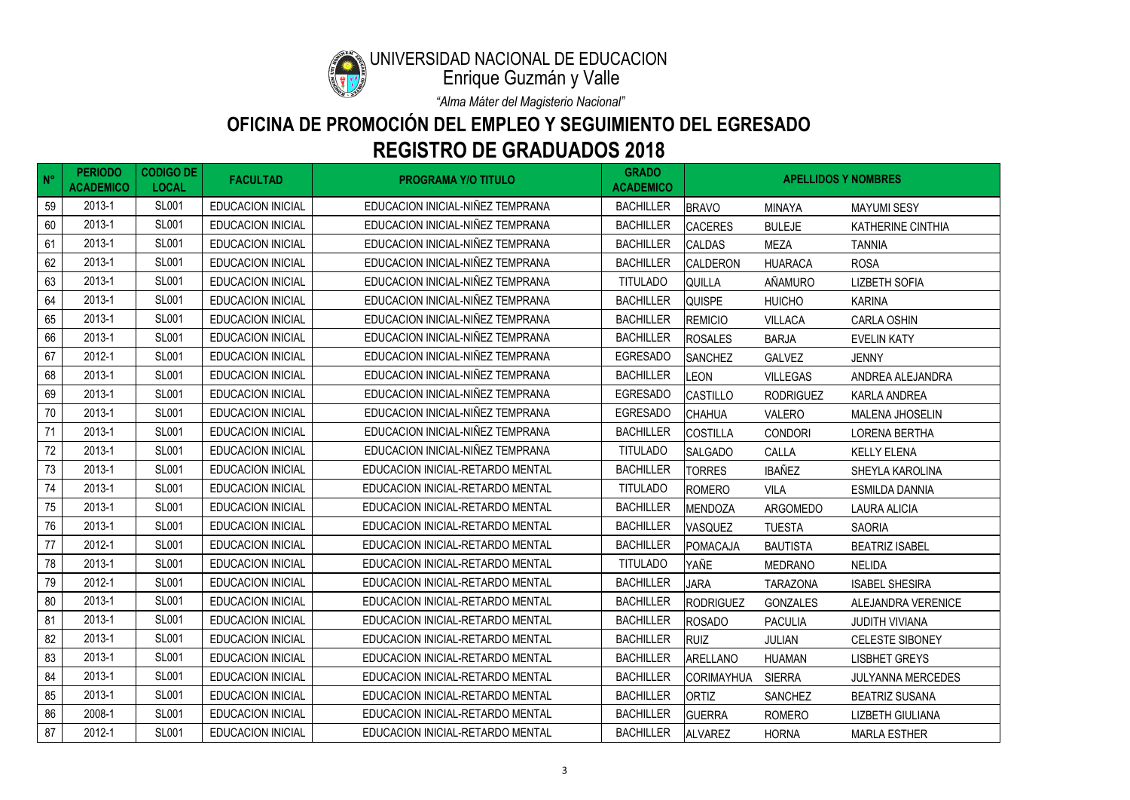

### UNIVERSIDAD NACIONAL DE EDUCACIÓN

Enrique Guzmán y Valle

| $N^{\circ}$ | <b>PERIODO</b><br><b>ACADEMICO</b> | <b>CODIGO DE</b><br><b>LOCAL</b> | <b>FACULTAD</b>          | <b>PROGRAMA Y/O TITULO</b>       | <b>GRADO</b><br><b>ACADEMICO</b> | <b>APELLIDOS Y NOMBRES</b> |                  |                           |
|-------------|------------------------------------|----------------------------------|--------------------------|----------------------------------|----------------------------------|----------------------------|------------------|---------------------------|
| 59          | 2013-1                             | <b>SL001</b>                     | <b>EDUCACION INICIAL</b> | EDUCACION INICIAL-NIÑEZ TEMPRANA | <b>BACHILLER</b>                 | <b>BRAVO</b>               | <b>MINAYA</b>    | <b>MAYUMI SESY</b>        |
| 60          | 2013-1                             | <b>SL001</b>                     | <b>EDUCACION INICIAL</b> | EDUCACION INICIAL-NIÑEZ TEMPRANA | <b>BACHILLER</b>                 | <b>CACERES</b>             | <b>BULEJE</b>    | <b>KATHERINE CINTHIA</b>  |
| 61          | 2013-1                             | <b>SL001</b>                     | <b>EDUCACION INICIAL</b> | EDUCACION INICIAL-NIÑEZ TEMPRANA | <b>BACHILLER</b>                 | <b>CALDAS</b>              | <b>MEZA</b>      | <b>TANNIA</b>             |
| 62          | 2013-1                             | <b>SL001</b>                     | <b>EDUCACION INICIAL</b> | EDUCACION INICIAL-NIÑEZ TEMPRANA | <b>BACHILLER</b>                 | <b>CALDERON</b>            | <b>HUARACA</b>   | <b>ROSA</b>               |
| 63          | 2013-1                             | <b>SL001</b>                     | <b>EDUCACION INICIAL</b> | EDUCACION INICIAL-NIÑEZ TEMPRANA | <b>TITULADO</b>                  | <b>QUILLA</b>              | AÑAMURO          | <b>LIZBETH SOFIA</b>      |
| 64          | 2013-1                             | <b>SL001</b>                     | EDUCACION INICIAL        | EDUCACION INICIAL-NIÑEZ TEMPRANA | <b>BACHILLER</b>                 | <b>QUISPE</b>              | <b>HUICHO</b>    | <b>KARINA</b>             |
| 65          | 2013-1                             | <b>SL001</b>                     | <b>EDUCACION INICIAL</b> | EDUCACION INICIAL-NIÑEZ TEMPRANA | <b>BACHILLER</b>                 | <b>REMICIO</b>             | <b>VILLACA</b>   | <b>CARLA OSHIN</b>        |
| 66          | 2013-1                             | <b>SL001</b>                     | <b>EDUCACION INICIAL</b> | EDUCACION INICIAL-NIÑEZ TEMPRANA | <b>BACHILLER</b>                 | <b>ROSALES</b>             | <b>BARJA</b>     | <b>EVELIN KATY</b>        |
| 67          | 2012-1                             | <b>SL001</b>                     | <b>EDUCACION INICIAL</b> | EDUCACION INICIAL-NIÑEZ TEMPRANA | <b>EGRESADO</b>                  | <b>SANCHEZ</b>             | <b>GALVEZ</b>    | <b>JENNY</b>              |
| 68          | 2013-1                             | <b>SL001</b>                     | <b>EDUCACION INICIAL</b> | EDUCACION INICIAL-NIÑEZ TEMPRANA | <b>BACHILLER</b>                 | <b>LEON</b>                | <b>VILLEGAS</b>  | ANDREA ALEJANDRA          |
| 69          | 2013-1                             | <b>SL001</b>                     | <b>EDUCACION INICIAL</b> | EDUCACION INICIAL-NIÑEZ TEMPRANA | <b>EGRESADO</b>                  | <b>CASTILLO</b>            | <b>RODRIGUEZ</b> | <b>KARLA ANDREA</b>       |
| $70\,$      | 2013-1                             | <b>SL001</b>                     | <b>EDUCACION INICIAL</b> | EDUCACION INICIAL-NIÑEZ TEMPRANA | <b>EGRESADO</b>                  | <b>CHAHUA</b>              | VALERO           | <b>MALENA JHOSELIN</b>    |
| 71          | 2013-1                             | <b>SL001</b>                     | <b>EDUCACION INICIAL</b> | EDUCACION INICIAL-NIÑEZ TEMPRANA | <b>BACHILLER</b>                 | <b>COSTILLA</b>            | <b>CONDORI</b>   | <b>LORENA BERTHA</b>      |
| 72          | 2013-1                             | <b>SL001</b>                     | <b>EDUCACION INICIAL</b> | EDUCACION INICIAL-NIÑEZ TEMPRANA | <b>TITULADO</b>                  | <b>SALGADO</b>             | CALLA            | <b>KELLY ELENA</b>        |
| 73          | 2013-1                             | <b>SL001</b>                     | <b>EDUCACION INICIAL</b> | EDUCACION INICIAL-RETARDO MENTAL | <b>BACHILLER</b>                 | <b>TORRES</b>              | <b>IBAÑEZ</b>    | <b>SHEYLA KAROLINA</b>    |
| 74          | 2013-1                             | <b>SL001</b>                     | <b>EDUCACION INICIAL</b> | EDUCACION INICIAL-RETARDO MENTAL | <b>TITULADO</b>                  | <b>ROMERO</b>              | <b>VILA</b>      | <b>ESMILDA DANNIA</b>     |
| 75          | 2013-1                             | <b>SL001</b>                     | <b>EDUCACION INICIAL</b> | EDUCACION INICIAL-RETARDO MENTAL | <b>BACHILLER</b>                 | <b>MENDOZA</b>             | ARGOMEDO         | <b>LAURA ALICIA</b>       |
| 76          | 2013-1                             | <b>SL001</b>                     | <b>EDUCACION INICIAL</b> | EDUCACION INICIAL-RETARDO MENTAL | <b>BACHILLER</b>                 | <b>VASQUEZ</b>             | <b>TUESTA</b>    | <b>SAORIA</b>             |
| 77          | 2012-1                             | <b>SL001</b>                     | <b>EDUCACION INICIAL</b> | EDUCACION INICIAL-RETARDO MENTAL | <b>BACHILLER</b>                 | <b>POMACAJA</b>            | <b>BAUTISTA</b>  | <b>BEATRIZ ISABEL</b>     |
| 78          | 2013-1                             | <b>SL001</b>                     | <b>EDUCACION INICIAL</b> | EDUCACION INICIAL-RETARDO MENTAL | <b>TITULADO</b>                  | YAÑE                       | <b>MEDRANO</b>   | <b>NELIDA</b>             |
| 79          | 2012-1                             | <b>SL001</b>                     | <b>EDUCACION INICIAL</b> | EDUCACION INICIAL-RETARDO MENTAL | <b>BACHILLER</b>                 | <b>JARA</b>                | <b>TARAZONA</b>  | <b>ISABEL SHESIRA</b>     |
| 80          | 2013-1                             | <b>SL001</b>                     | <b>EDUCACION INICIAL</b> | EDUCACION INICIAL-RETARDO MENTAL | <b>BACHILLER</b>                 | <b>RODRIGUEZ</b>           | <b>GONZALES</b>  | <b>ALEJANDRA VERENICE</b> |
| 81          | 2013-1                             | <b>SL001</b>                     | <b>EDUCACION INICIAL</b> | EDUCACION INICIAL-RETARDO MENTAL | <b>BACHILLER</b>                 | <b>ROSADO</b>              | <b>PACULIA</b>   | <b>JUDITH VIVIANA</b>     |
| 82          | 2013-1                             | <b>SL001</b>                     | <b>EDUCACION INICIAL</b> | EDUCACION INICIAL-RETARDO MENTAL | <b>BACHILLER</b>                 | <b>RUIZ</b>                | <b>JULIAN</b>    | <b>CELESTE SIBONEY</b>    |
| 83          | 2013-1                             | <b>SL001</b>                     | <b>EDUCACION INICIAL</b> | EDUCACION INICIAL-RETARDO MENTAL | <b>BACHILLER</b>                 | <b>ARELLANO</b>            | <b>HUAMAN</b>    | <b>LISBHET GREYS</b>      |
| 84          | 2013-1                             | <b>SL001</b>                     | <b>EDUCACION INICIAL</b> | EDUCACION INICIAL-RETARDO MENTAL | <b>BACHILLER</b>                 | <b>CORIMAYHUA</b>          | <b>SIERRA</b>    | <b>JULYANNA MERCEDES</b>  |
| 85          | 2013-1                             | <b>SL001</b>                     | <b>EDUCACION INICIAL</b> | EDUCACION INICIAL-RETARDO MENTAL | <b>BACHILLER</b>                 | <b>ORTIZ</b>               | <b>SANCHEZ</b>   | <b>BEATRIZ SUSANA</b>     |
| 86          | 2008-1                             | <b>SL001</b>                     | <b>EDUCACION INICIAL</b> | EDUCACION INICIAL-RETARDO MENTAL | <b>BACHILLER</b>                 | <b>GUERRA</b>              | <b>ROMERO</b>    | <b>LIZBETH GIULIANA</b>   |
| 87          | 2012-1                             | <b>SL001</b>                     | EDUCACION INICIAL        | EDUCACION INICIAL-RETARDO MENTAL | <b>BACHILLER</b>                 | <b>ALVAREZ</b>             | <b>HORNA</b>     | <b>MARLA ESTHER</b>       |